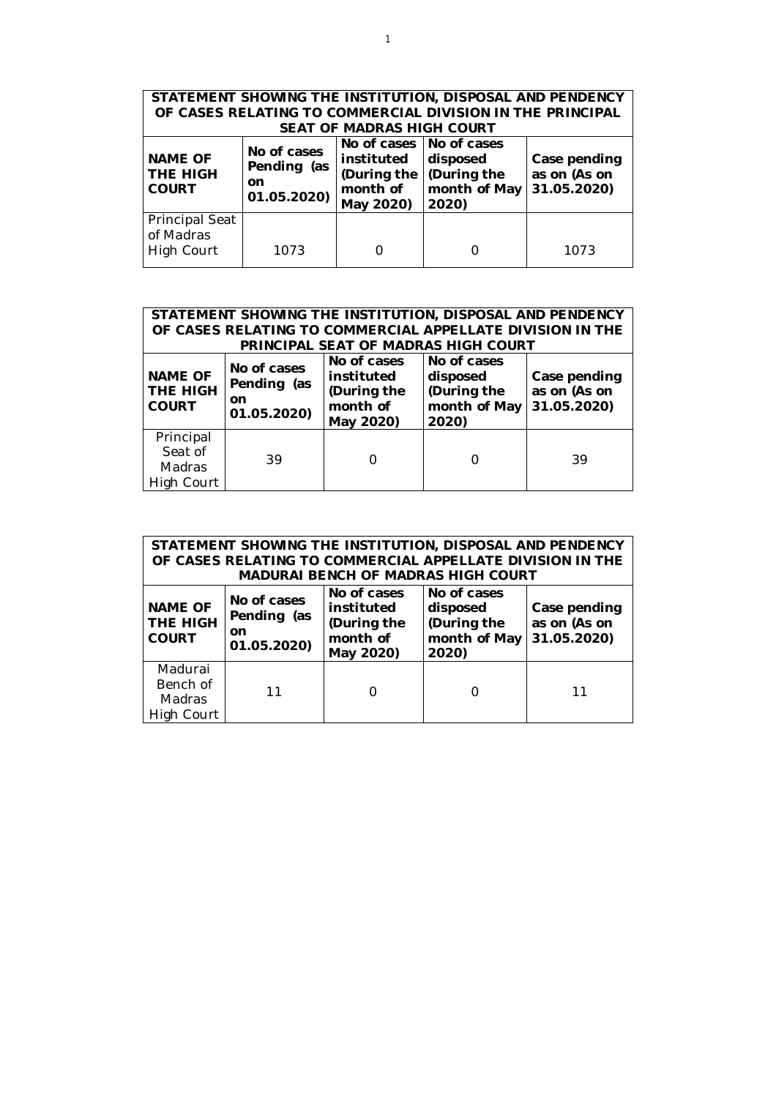| STATEMENT SHOWING THE INSTITUTION, DISPOSAL AND PENDENCY<br>OF CASES RELATING TO COMMERCIAL DIVISION IN THE PRINCIPAL<br><b>SEAT OF MADRAS HIGH COURT</b> |                                                 |                                                                                 |                                                 |                                             |  |  |  |
|-----------------------------------------------------------------------------------------------------------------------------------------------------------|-------------------------------------------------|---------------------------------------------------------------------------------|-------------------------------------------------|---------------------------------------------|--|--|--|
| <b>NAME OF</b><br><b>THE HIGH</b><br><b>COURT</b>                                                                                                         | No of cases<br>Pending (as<br>on<br>01.05.2020) | No of cases   No of cases<br>instituted<br>(During the<br>month of<br>May 2020) | disposed<br>During the<br>month of May<br>2020) | Case pending<br>as on (As on<br>31.05.2020) |  |  |  |
| <b>Principal Seat</b><br>of Madras<br>High Court                                                                                                          | 1073                                            |                                                                                 |                                                 | 1073                                        |  |  |  |

| STATEMENT SHOWING THE INSTITUTION, DISPOSAL AND PENDENCY<br>OF CASES RELATING TO COMMERCIAL APPELLATE DIVISION IN THE<br>PRINCIPAL SEAT OF MADRAS HIGH COURT |    |                                                                   |                                                                 |                                             |  |  |  |
|--------------------------------------------------------------------------------------------------------------------------------------------------------------|----|-------------------------------------------------------------------|-----------------------------------------------------------------|---------------------------------------------|--|--|--|
| No of cases<br><b>NAME OF</b><br>Pending (as<br><b>THE HIGH</b><br>on<br><b>COURT</b><br>01.05.2020)                                                         |    | No of cases<br>instituted<br>(During the<br>month of<br>May 2020) | No of cases<br>disposed<br>(During the<br>month of May<br>2020) | Case pending<br>as on (As on<br>31.05.2020) |  |  |  |
| Principal<br>Seat of<br>Madras<br>High Court                                                                                                                 | 39 |                                                                   |                                                                 | 39                                          |  |  |  |

| STATEMENT SHOWING THE INSTITUTION, DISPOSAL AND PENDENCY<br>OF CASES RELATING TO COMMERCIAL APPELLATE DIVISION IN THE<br>MADURAI BENCH OF MADRAS HIGH COURT        |    |  |                                                                 |                                             |  |  |  |
|--------------------------------------------------------------------------------------------------------------------------------------------------------------------|----|--|-----------------------------------------------------------------|---------------------------------------------|--|--|--|
| No of cases<br>No of cases<br><b>NAME OF</b><br>instituted<br>Pending (as<br>THE HIGH<br>(During the<br>on<br>month of<br><b>COURT</b><br>01.05.2020)<br>May 2020) |    |  | No of cases<br>disposed<br>(During the<br>month of May<br>2020) | Case pending<br>as on (As on<br>31.05.2020) |  |  |  |
| Madurai<br>Bench of<br><b>Madras</b><br>High Court                                                                                                                 | 11 |  |                                                                 | 11                                          |  |  |  |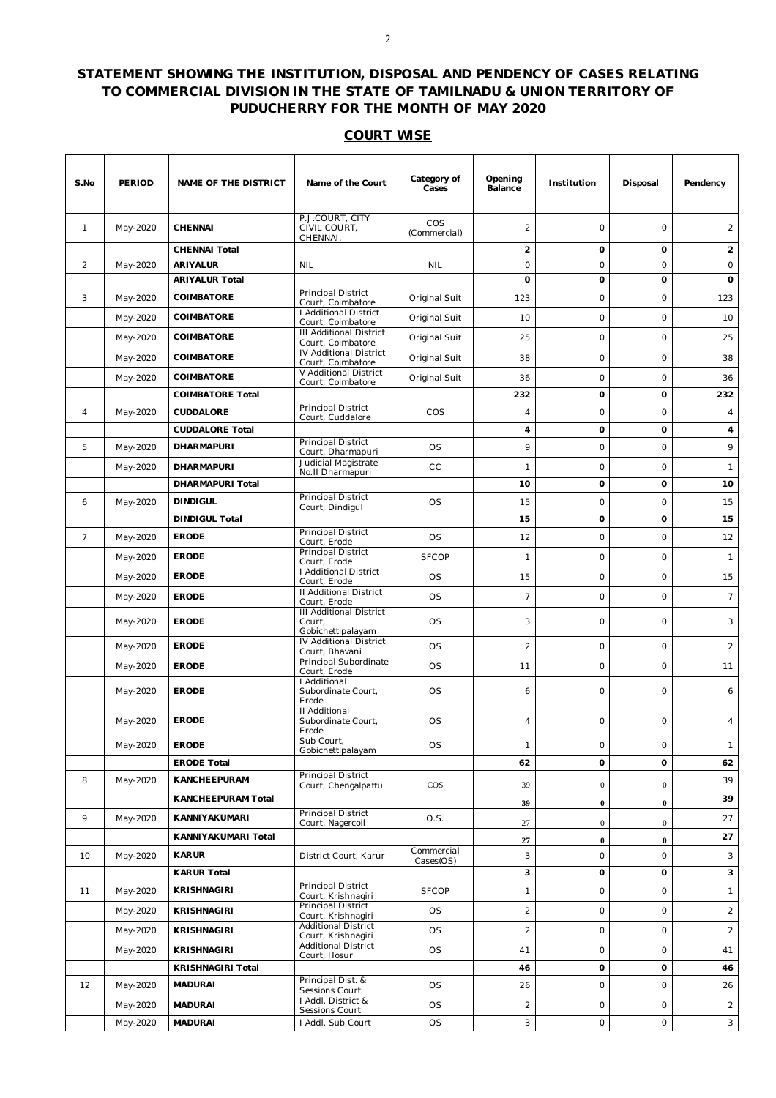## **STATEMENT SHOWING THE INSTITUTION, DISPOSAL AND PENDENCY OF CASES RELATING TO COMMERCIAL DIVISION IN THE STATE OF TAMILNADU & UNION TERRITORY OF PUDUCHERRY FOR THE MONTH OF MAY 2020**

## **COURT WISE**

| S.No            | <b>PERIOD</b> | <b>NAME OF THE DISTRICT</b> | Name of the Court                                             | Category of<br>Cases | Opening<br>Balance | Institution    | Disposal         | Pendency       |
|-----------------|---------------|-----------------------------|---------------------------------------------------------------|----------------------|--------------------|----------------|------------------|----------------|
| $\mathbf{1}$    | May-2020      | <b>CHENNAI</b>              | P.J.COURT, CITY<br>CIVIL COURT,<br>CHENNAI.                   | COS<br>(Commercial)  | $\overline{2}$     | $\circ$        | $\circ$          | $\overline{2}$ |
|                 |               | <b>CHENNAI Total</b>        |                                                               |                      | $\overline{2}$     | 0              | $\mathbf 0$      | $\overline{2}$ |
| 2               | May-2020      | <b>ARIYALUR</b>             | <b>NIL</b>                                                    | <b>NIL</b>           | $\circ$            | $\circ$        | $\circ$          | 0              |
|                 |               | <b>ARIYALUR Total</b>       |                                                               |                      | 0                  | 0              | o                | 0              |
| 3               | May-2020      | COIMBATORE                  | Principal District<br>Court, Coimbatore                       | Original Suit        | 123                | 0              | $\circ$          | 123            |
|                 | May-2020      | <b>COIMBATORE</b>           | I Additional District<br>Court, Coimbatore                    | Original Suit        | 10                 | 0              | $\circ$          | 10             |
|                 | May-2020      | <b>COIMBATORE</b>           | <b>III Additional District</b><br>Court. Coimbatore           | Original Suit        | 25                 | $\circ$        | $\circ$          | 25             |
|                 | May-2020      | COIMBATORE                  | IV Additional District<br>Court, Coimbatore                   | Original Suit        | 38                 | 0              | $\circ$          | 38             |
|                 | May-2020      | COIMBATORE                  | V Additional District                                         | Original Suit        | 36                 | 0              | $\circ$          | 36             |
|                 |               | <b>COIMBATORE Total</b>     | Court, Coimbatore                                             |                      | 232                | 0              | $\mathbf 0$      | 232            |
| $\overline{4}$  | May-2020      | <b>CUDDALORE</b>            | Principal District                                            | COS                  | 4                  | $\circ$        | $\circ$          | $\overline{4}$ |
|                 |               | <b>CUDDALORE Total</b>      | Court, Cuddalore                                              |                      | 4                  | 0              | $\mathbf{o}$     | 4              |
| 5               | May-2020      | <b>DHARMAPURI</b>           | Principal District                                            | <b>OS</b>            | 9                  | 0              | $\circ$          | 9              |
|                 |               |                             | Court, Dharmapuri<br>Judicial Magistrate                      |                      |                    |                |                  |                |
|                 | May-2020      | <b>DHARMAPURI</b>           | No.II Dharmapuri                                              | cc                   | 1                  | 0              | $\circ$          | $\mathbf{1}$   |
|                 |               | <b>DHARMAPURI Total</b>     | Principal District                                            |                      | 10                 | 0              | $\mathbf 0$      | 10             |
| 6               | May-2020      | <b>DINDIGUL</b>             | Court, Dindigul                                               | <b>OS</b>            | 15                 | 0              | $\circ$          | 15             |
|                 |               | <b>DINDIGUL Total</b>       |                                                               |                      | 15                 | 0              | o                | 15             |
| $7\overline{ }$ | May-2020      | <b>ERODE</b>                | Principal District<br>Court, Erode                            | <b>OS</b>            | 12                 | $\circ$        | $\circ$          | 12             |
|                 | May-2020      | <b>ERODE</b>                | Principal District<br>Court, Erode                            | <b>SFCOP</b>         | 1                  | 0              | $\circ$          | $\mathbf{1}$   |
|                 | May-2020      | <b>ERODE</b>                | I Additional District<br>Court, Erode                         | <b>OS</b>            | 15                 | 0              | $\circ$          | 15             |
|                 | May-2020      | <b>ERODE</b>                | <b>II Additional District</b><br>Court, Erode                 | <b>OS</b>            | $\overline{7}$     | 0              | $\circ$          | $7^{\circ}$    |
|                 | May-2020      | <b>ERODE</b>                | <b>III Additional District</b><br>Court,<br>Gobichettipalayam | <b>OS</b>            | 3                  | $\circ$        | $\circ$          | 3              |
|                 | May-2020      | <b>ERODE</b>                | IV Additional District<br>Court, Bhavani                      | <b>OS</b>            | $\overline{2}$     | $\circ$        | $\circ$          | $\overline{a}$ |
|                 | May-2020      | <b>ERODE</b>                | Principal Subordinate<br>Court, Erode                         | OS                   | 11                 | 0              | $\circ$          | 11             |
|                 | May-2020      | <b>ERODE</b>                | I Additional<br>Subordinate Court,<br>Erode                   | <b>OS</b>            | 6                  | 0              | $\circ$          | 6              |
|                 | May-2020      | <b>ERODE</b>                | <b>II Additional</b><br>Subordinate Court,<br>Erode           | <b>OS</b>            | 4                  | 0              | $\circ$          | $\overline{4}$ |
|                 | May-2020      | <b>ERODE</b>                | Sub Court,<br>Gobichettipalayam                               | OS                   | 1                  | 0              | $\circ$          | $\mathbf{1}$   |
|                 |               | <b>ERODE Total</b>          |                                                               |                      | 62                 | 0              | 0                | 62             |
| 8               | May-2020      | KANCHEEPURAM                | <b>Principal District</b><br>Court, Chengalpattu              | $\cos$               | 39                 | $\overline{0}$ | $\mathbf{0}$     | 39             |
|                 |               | <b>KANCHEEPURAM Total</b>   |                                                               |                      | 39                 | $\bf{0}$       | $\pmb{0}$        | 39             |
| 9               | May-2020      | KANNIYAKUMARI               | Principal District                                            | O.S.                 |                    |                |                  | 27             |
|                 |               | KANNIYAKUMARI Total         | Court, Nagercoil                                              |                      | 27                 | $\mathbf{0}$   | $\boldsymbol{0}$ | 27             |
|                 |               |                             |                                                               | Commercial           | 27                 | $\bf{0}$       | $\bf{0}$         |                |
| 10              | May-2020      | <b>KARUR</b>                | District Court, Karur                                         | Cases(OS)            | 3                  | 0              | $\circ$          | 3              |
|                 |               | <b>KARUR Total</b>          | Principal District                                            |                      | 3                  | 0              | 0                | 3              |
| 11              | May-2020      | KRISHNAGIRI                 | Court, Krishnagiri                                            | <b>SFCOP</b>         | 1                  | 0              | $\circ$          | $\mathbf{1}$   |
|                 | May-2020      | KRISHNAGIRI                 | Principal District<br>Court, Krishnagiri                      | OS                   | $\overline{a}$     | $\circ$        | $\circ$          | $\overline{a}$ |
|                 | May-2020      | <b>KRISHNAGIRI</b>          | <b>Additional District</b><br>Court, Krishnagiri              | <b>OS</b>            | $\overline{c}$     | 0              | $\circ$          | $\overline{a}$ |
|                 | May-2020      | KRISHNAGIRI                 | <b>Additional District</b><br>Court, Hosur                    | OS                   | 41                 | 0              | $\circ$          | 41             |
|                 |               | KRISHNAGIRI Total           |                                                               |                      | 46                 | 0              | 0                | 46             |
| 12              | May-2020      | <b>MADURAI</b>              | Principal Dist. &<br>Sessions Court                           | <b>OS</b>            | 26                 | 0              | $\circ$          | 26             |
|                 | May-2020      | <b>MADURAI</b>              | I Addl. District &<br>Sessions Court                          | OS                   | 2                  | 0              | $\circ$          | $\overline{a}$ |
|                 | May-2020      | <b>MADURAI</b>              | I Addl. Sub Court                                             | <b>OS</b>            | 3                  | O              | $\mathsf O$      | $\sqrt{3}$     |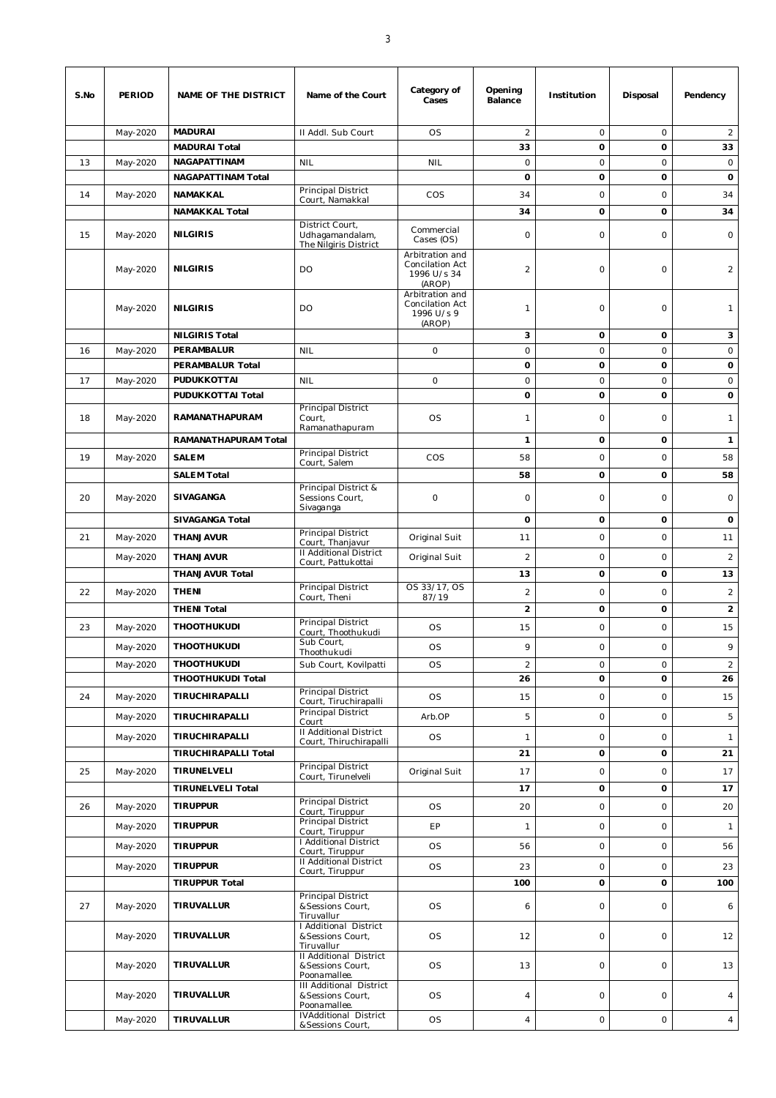| S.No | PERIOD   | NAME OF THE DISTRICT        | Name of the Court                                                   | Category of<br>Cases                                        | Opening<br><b>Balance</b> | Institution         | Disposal            | Pendency       |
|------|----------|-----------------------------|---------------------------------------------------------------------|-------------------------------------------------------------|---------------------------|---------------------|---------------------|----------------|
|      | May-2020 | <b>MADURAI</b>              | II Addl. Sub Court                                                  | <b>OS</b>                                                   | $\overline{c}$            | 0                   | $\circ$             | 2              |
|      |          | <b>MADURAI Total</b>        |                                                                     |                                                             | 33                        | 0                   | 0                   | 33             |
| 13   | May-2020 | <b>NAGAPATTINAM</b>         | <b>NIL</b>                                                          | <b>NIL</b>                                                  | $\circ$                   | $\circ$             | $\circ$             | $\circ$        |
|      |          | <b>NAGAPATTINAM Total</b>   |                                                                     |                                                             | O                         | 0                   | o                   | 0              |
| 14   | May-2020 | NAMAKKAL                    | Principal District<br>Court, Namakkal                               | COS                                                         | 34                        | $\circ$             | $\circ$             | 34             |
|      |          | <b>NAMAKKAL Total</b>       |                                                                     |                                                             | 34                        | 0                   | o                   | 34             |
| 15   | May-2020 | <b>NILGIRIS</b>             | District Court,<br>Udhagamandalam,<br>The Nilgiris District         | Commercial<br>Cases (OS)                                    | 0                         | $\circ$             | $\circ$             | $\circ$        |
|      | May-2020 | <b>NILGIRIS</b>             | DO                                                                  | Arbitration and<br>Concilation Act<br>1996 U/s 34<br>(AROP) | $\overline{2}$            | $\circ$             | $\circ$             | $\overline{2}$ |
|      | May-2020 | <b>NILGIRIS</b>             | DO                                                                  | Arbitration and<br>Concilation Act<br>1996 U/s 9<br>(AROP)  | 1                         | $\circ$             | $\circ$             | 1              |
|      |          | <b>NILGIRIS Total</b>       |                                                                     |                                                             | 3                         | 0                   | o                   | 3              |
| 16   | May-2020 | PERAMBALUR                  | <b>NIL</b>                                                          | $\circ$                                                     | $\circ$                   | $\circ$             | $\circ$             | $\circ$        |
|      |          | PERAMBALUR Total            |                                                                     |                                                             | 0                         | o                   | o                   | 0              |
| 17   | May-2020 | PUDUKKOTTAI                 | <b>NIL</b>                                                          | 0                                                           | $\circ$                   | 0                   | $\circ$             | $\circ$        |
|      |          | PUDUKKOTTAI Total           | Principal District                                                  |                                                             | $\mathbf{o}$              | o                   | 0                   | 0              |
| 18   | May-2020 | RAMANATHAPURAM              | Court,<br>Ramanathapuram                                            | <b>OS</b>                                                   | 1                         | 0                   | $\circ$             | 1              |
|      |          | RAMANATHAPURAM Total        |                                                                     |                                                             | 1                         | 0                   | o                   | $\mathbf{1}$   |
| 19   | May-2020 | <b>SALEM</b>                | Principal District<br>Court, Salem                                  | COS                                                         | 58                        | $\circ$             | $\circ$             | 58             |
|      |          | <b>SALEM Total</b>          |                                                                     |                                                             | 58                        | $\mathbf 0$         | 0                   | 58             |
| 20   | May-2020 | SIVAGANGA                   | Principal District &<br>Sessions Court,<br>Sivaganga                | 0                                                           | 0                         | 0                   | $\circ$             | $\circ$        |
|      |          | <b>SIVAGANGA Total</b>      |                                                                     |                                                             | $\mathbf 0$               | 0                   | o                   | 0              |
| 21   | May-2020 | <b>THANJAVUR</b>            | Principal District<br>Court, Thanjavur                              | Original Suit                                               | 11                        | $\mathsf{O}\xspace$ | $\circ$             | 11             |
|      | May-2020 | <b>THANJAVUR</b>            | II Additional District<br>Court, Pattukottai                        | Original Suit                                               | $\overline{2}$            | 0                   | $\circ$             | $\overline{a}$ |
|      |          | <b>THANJAVUR Total</b>      | Principal District                                                  | OS 33/17, OS                                                | 13                        | 0                   | o                   | 13             |
| 22   | May-2020 | <b>THENI</b>                | Court, Theni                                                        | 87/19                                                       | $\overline{a}$            | 0                   | $\circ$             | $\overline{2}$ |
|      |          | <b>THENI Total</b>          |                                                                     |                                                             | $\overline{\mathbf{c}}$   | 0                   | o                   | $\overline{2}$ |
| 23   | May-2020 | <b>THOOTHUKUDI</b>          | <b>Principal District</b><br>Court, Thoothukudi                     | <b>OS</b>                                                   | 15                        | 0                   | $\circ$             | 15             |
|      | May-2020 | <b>THOOTHUKUDI</b>          | Sub Court,                                                          | <b>OS</b>                                                   | 9                         | $\circ$             | $\circ$             | 9              |
|      | May-2020 | <b>THOOTHUKUDI</b>          | Thoothukudi<br>Sub Court, Kovilpatti                                | <b>OS</b>                                                   | $\overline{2}$            | $\circ$             | $\circ$             | $\overline{2}$ |
|      |          | THOOTHUKUDI Total           |                                                                     |                                                             | 26                        | 0                   | 0                   | 26             |
| 24   | May-2020 | TIRUCHIRAPALLI              | <b>Principal District</b>                                           | <b>OS</b>                                                   | 15                        | $\circ$             | $\circ$             | 15             |
|      |          |                             | Court, Tiruchirapalli<br>Principal District                         |                                                             |                           |                     |                     |                |
|      | May-2020 | TIRUCHIRAPALLI              | Court                                                               | Arb.OP                                                      | 5                         | 0                   | $\mathsf{O}\xspace$ | 5              |
|      | May-2020 | TIRUCHIRAPALLI              | II Additional District<br>Court, Thiruchirapalli                    | <b>OS</b>                                                   | 1                         | $\circ$             | $\mathsf{O}\xspace$ | $\mathbf{1}$   |
|      |          | <b>TIRUCHIRAPALLI Total</b> |                                                                     |                                                             | 21                        | $\mathbf 0$         | 0                   | 21             |
| 25   | May-2020 | TIRUNELVELI                 | Principal District<br>Court, Tirunelveli                            | Original Suit                                               | 17                        | $\circ$             | $\mathbf 0$         | 17             |
|      |          | <b>TIRUNELVELI Total</b>    |                                                                     |                                                             | 17                        | 0                   | 0                   | 17             |
| 26   | May-2020 | <b>TIRUPPUR</b>             | Principal District<br>Court, Tiruppur                               | <b>OS</b>                                                   | 20                        | $\circ$             | $\circ$             | 20             |
|      | May-2020 | <b>TIRUPPUR</b>             | Principal District                                                  | EP                                                          | $\mathbf{1}$              | 0                   | $\mathsf{O}\xspace$ | $\mathbf{1}$   |
|      |          |                             | Court, Tiruppur<br>I Additional District                            |                                                             |                           |                     |                     |                |
|      | May-2020 | <b>TIRUPPUR</b>             | Court, Tiruppur<br>II Additional District                           | <b>OS</b>                                                   | 56                        | $\circ$             | $\circ$             | 56             |
|      | May-2020 | <b>TIRUPPUR</b>             | Court, Tiruppur                                                     | <b>OS</b>                                                   | 23                        | 0                   | $\circ$             | 23             |
|      |          | <b>TIRUPPUR Total</b>       |                                                                     |                                                             | 100                       | 0                   | 0                   | 100            |
| 27   | May-2020 | TIRUVALLUR                  | Principal District<br>& Sessions Court,<br>Tiruvallur               | <b>OS</b>                                                   | 6                         | $\circ$             | $\circ$             | 6              |
|      | May-2020 | TIRUVALLUR                  | I Additional District<br>& Sessions Court,<br>Tiruvallur            | <b>OS</b>                                                   | 12                        | 0                   | $\circ$             | 12             |
|      | May-2020 | TIRUVALLUR                  | Il Additional District<br>& Sessions Court,<br>Poonamallee.         | <b>OS</b>                                                   | 13                        | 0                   | $\circ$             | 13             |
|      | May-2020 | TIRUVALLUR                  | <b>III Additional District</b><br>& Sessions Court,<br>Poonamallee. | <b>OS</b>                                                   | 4                         | 0                   | $\circ$             | $\overline{4}$ |
|      | May-2020 | TIRUVALLUR                  | <b>IVAdditional District</b><br>& Sessions Court,                   | <b>OS</b>                                                   | $\overline{4}$            | $\circ$             | $\circ$             | $\overline{4}$ |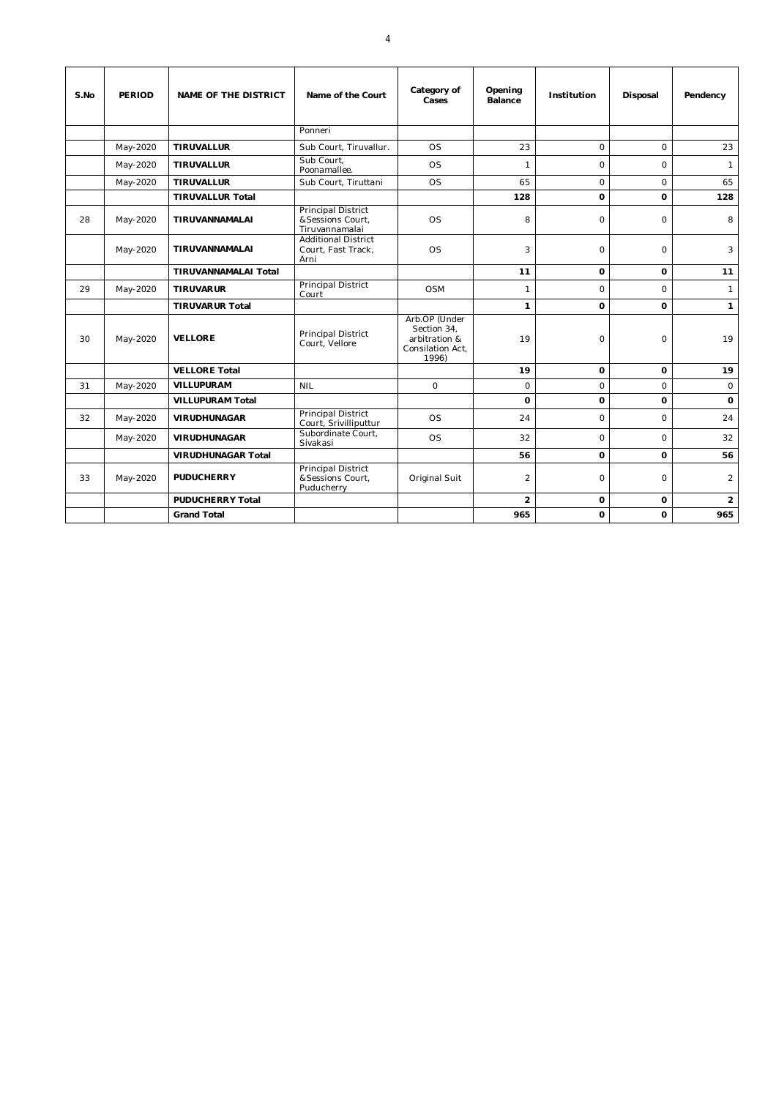| S.No | <b>PERIOD</b> | <b>NAME OF THE DISTRICT</b> | Name of the Court                                                | Category of<br>Cases                                                       | Opening<br>Balance | Institution | Disposal       | Pendency       |
|------|---------------|-----------------------------|------------------------------------------------------------------|----------------------------------------------------------------------------|--------------------|-------------|----------------|----------------|
|      |               |                             | Ponneri                                                          |                                                                            |                    |             |                |                |
|      | May-2020      | <b>TIRUVALLUR</b>           | Sub Court, Tiruvallur.                                           | <b>OS</b>                                                                  | 23                 | $\Omega$    | $\mathsf{O}$   | 23             |
|      | May-2020      | <b>TIRUVALLUR</b>           | Sub Court.<br>Poonamallee.                                       | <b>OS</b>                                                                  | $\mathbf{1}$       | $\Omega$    | $\Omega$       | $\mathbf{1}$   |
|      | May-2020      | <b>TIRUVALLUR</b>           | Sub Court, Tiruttani                                             | <b>OS</b>                                                                  | 65                 | $\Omega$    | $\Omega$       | 65             |
|      |               | <b>TIRUVALLUR Total</b>     |                                                                  |                                                                            | 128                | $\Omega$    | $\Omega$       | 128            |
| 28   | May-2020      | TIRUVANNAMALAI              | <b>Principal District</b><br>& Sessions Court,<br>Tiruvannamalai | OS                                                                         | 8                  | $\Omega$    | $\Omega$       | 8              |
|      | May-2020      | TIRUVANNAMALAI              | <b>Additional District</b><br>Court, Fast Track,<br>Arni         | <b>OS</b>                                                                  | 3                  | $\circ$     | $\Omega$       | 3              |
|      |               | <b>TIRUVANNAMALAI Total</b> |                                                                  |                                                                            | 11                 | 0           | 0              | 11             |
| 29   | May-2020      | <b>TIRUVARUR</b>            | <b>Principal District</b><br>Court                               | <b>OSM</b>                                                                 | 1                  | $\Omega$    | $\Omega$       | $\mathbf{1}$   |
|      |               | <b>TIRUVARUR Total</b>      |                                                                  |                                                                            | 1                  | $\Omega$    | $\mathbf 0$    | $\mathbf{1}$   |
| 30   | May-2020      | <b>VELLORE</b>              | Principal District<br>Court, Vellore                             | Arb.OP (Under<br>Section 34,<br>arbitration &<br>Consilation Act,<br>1996) | 19                 | $\Omega$    | $\overline{O}$ | 19             |
|      |               | <b>VELLORE Total</b>        |                                                                  |                                                                            | 19                 | 0           | $\mathbf 0$    | 19             |
| 31   | May-2020      | <b>VILLUPURAM</b>           | <b>NIL</b>                                                       | $\circ$                                                                    | $\circ$            | $\circ$     | $\circ$        | $\mathsf O$    |
|      |               | <b>VILLUPURAM Total</b>     |                                                                  |                                                                            | 0                  | 0           | 0              | 0              |
| 32   | May-2020      | <b>VIRUDHUNAGAR</b>         | <b>Principal District</b><br>Court, Srivilliputtur               | <b>OS</b>                                                                  | 24                 | $\Omega$    | $\Omega$       | 24             |
|      | May-2020      | <b>VIRUDHUNAGAR</b>         | Subordinate Court,<br>Sivakasi                                   | <b>OS</b>                                                                  | 32                 | $\Omega$    | 0              | 32             |
|      |               | <b>VIRUDHUNAGAR Total</b>   |                                                                  |                                                                            | 56                 | 0           | $\mathbf 0$    | 56             |
| 33   | May-2020      | <b>PUDUCHERRY</b>           | <b>Principal District</b><br>& Sessions Court,<br>Puducherry     | Original Suit                                                              | $\overline{2}$     | $\Omega$    | 0              | 2              |
|      |               | <b>PUDUCHERRY Total</b>     |                                                                  |                                                                            | $\overline{2}$     | 0           | $\mathbf 0$    | $\overline{2}$ |
|      |               | <b>Grand Total</b>          |                                                                  |                                                                            | 965                | 0           | $\mathbf 0$    | 965            |